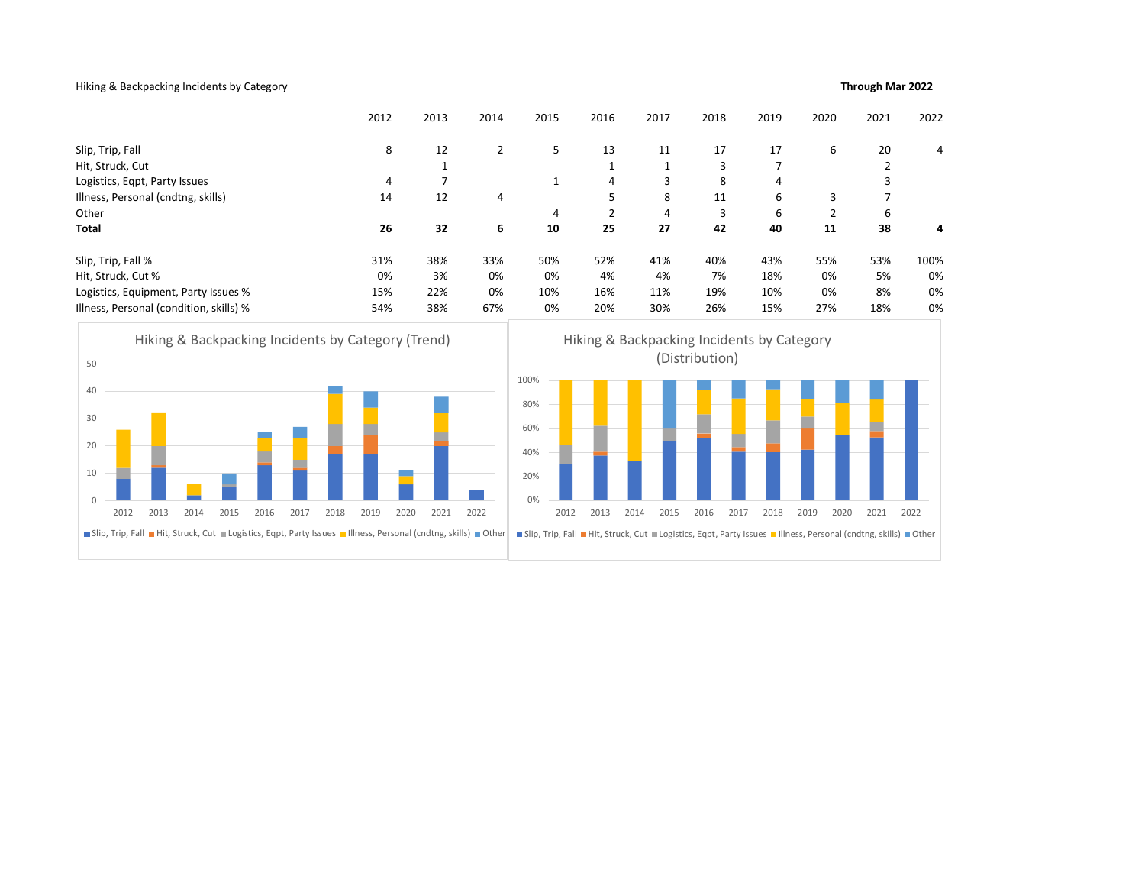# Hiking & Backpacking Incidents by Category and the Category Category Category Through Mar 2022

|                                                                                                                    | 2012                 | 2013           | 2014           | 2015                                                                                                               | 2016           | 2017         | 2018 | 2019         | 2020           | 2021           | 2022 |
|--------------------------------------------------------------------------------------------------------------------|----------------------|----------------|----------------|--------------------------------------------------------------------------------------------------------------------|----------------|--------------|------|--------------|----------------|----------------|------|
| Slip, Trip, Fall                                                                                                   | 8                    | 12             | $\overline{2}$ | 5                                                                                                                  | 13             | 11           | 17   | 17           | 6              | 20             | 4    |
| Hit, Struck, Cut                                                                                                   |                      | 1              |                |                                                                                                                    | $\mathbf{1}$   | $\mathbf{1}$ | 3    | 7            |                | $\overline{2}$ |      |
| Logistics, Eqpt, Party Issues                                                                                      | 4                    | $\overline{7}$ |                | $\mathbf{1}$                                                                                                       | 4              | 3            | 8    | 4            |                | 3              |      |
| Illness, Personal (cndtng, skills)                                                                                 | 14                   | 12             | 4              |                                                                                                                    | 5              | 8            | 11   | 6            | 3              | 7              |      |
| Other                                                                                                              |                      |                |                | 4                                                                                                                  | $\overline{2}$ | 4            | 3    | 6            | $\overline{2}$ | 6              |      |
| Total                                                                                                              | 26                   | 32             | 6              | 10                                                                                                                 | 25             | 27           | 42   | 40           | 11             | 38             | 4    |
| Slip, Trip, Fall %                                                                                                 | 31%                  | 38%            | 33%            | 50%                                                                                                                | 52%            | 41%          | 40%  | 43%          | 55%            | 53%            | 100% |
| Hit, Struck, Cut %                                                                                                 | 0%                   | 3%             | 0%             | 0%                                                                                                                 | 4%             | 4%           | 7%   | 18%          | 0%             | 5%             | 0%   |
| Logistics, Equipment, Party Issues %                                                                               | 15%                  | 22%            | 0%             | 10%                                                                                                                | 16%            | 11%          | 19%  | 10%          | 0%             | 8%             | 0%   |
| Illness, Personal (condition, skills) %                                                                            | 54%                  | 38%            | 67%            | 0%                                                                                                                 | 20%            | 30%          | 26%  | 15%          | 27%            | 18%            | 0%   |
| 40<br>30<br>20<br>10<br>$\mathbf 0$                                                                                |                      |                |                | 100%<br>80%<br>60%<br>40%<br>20%<br>0%                                                                             |                |              |      |              |                |                |      |
| 2013<br>2012<br>2014<br>2015<br>2016<br>2017                                                                       | 2018<br>2019<br>2020 | 2021           | 2022           | 2012                                                                                                               | 2013           | 2014<br>2015 | 2016 | 2017<br>2018 | 2019<br>2020   | 2021           | 2022 |
| ■ Slip, Trip, Fall ■ Hit, Struck, Cut ■ Logistics, Eqpt, Party Issues ■ Illness, Personal (cndtng, skills) ■ Other |                      |                |                | ■ Slip, Trip, Fall ■ Hit, Struck, Cut ■ Logistics, Eqpt, Party Issues ■ Illness, Personal (cndtng, skills) ■ Other |                |              |      |              |                |                |      |



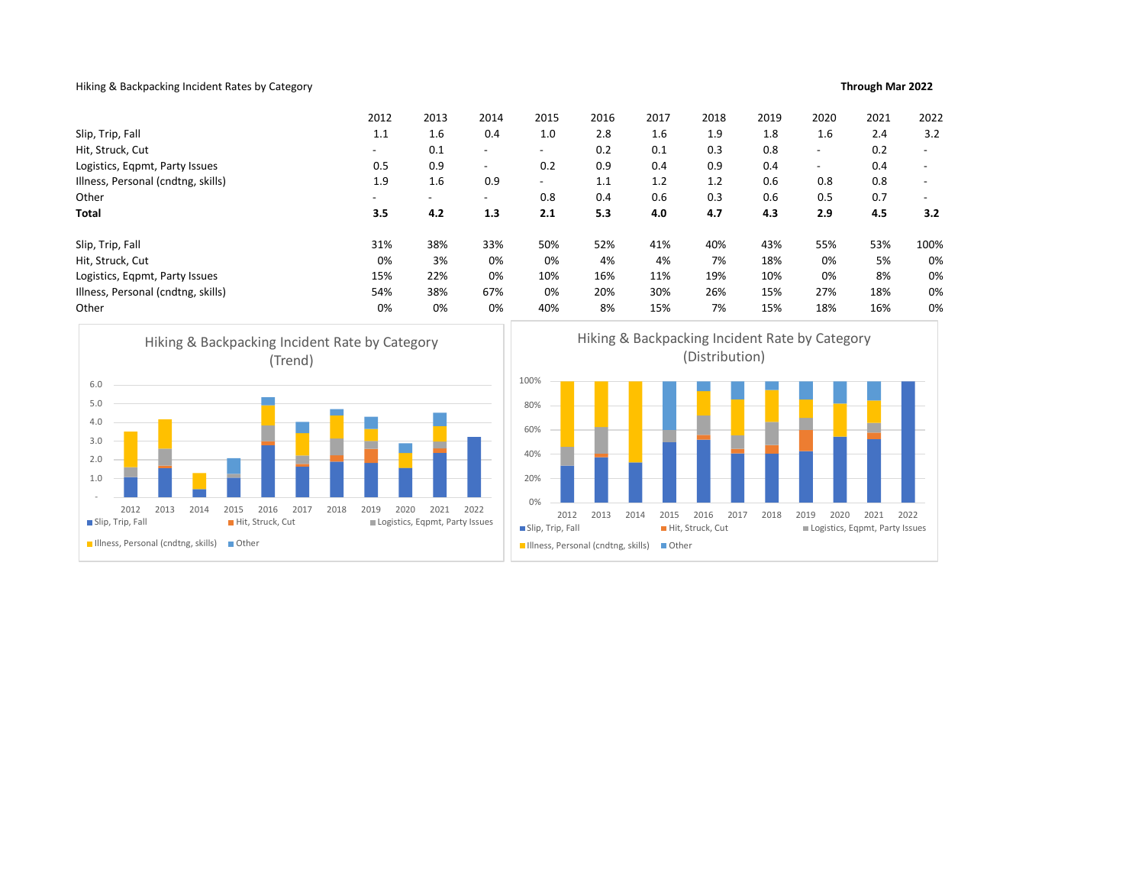# Hiking & Backpacking Incident Rates by Category and the Category Category Category Through Mar 2022

|                                                      | 2012         | 2013                           | 2014                     | 2015                               | 2016 | 2017         | 2018             | 2019 | 2020                     | 2021                           | 2022                     |
|------------------------------------------------------|--------------|--------------------------------|--------------------------|------------------------------------|------|--------------|------------------|------|--------------------------|--------------------------------|--------------------------|
| Slip, Trip, Fall                                     | $1.1$        | 1.6                            | 0.4                      | 1.0                                | 2.8  | 1.6          | 1.9              | 1.8  | 1.6                      | 2.4                            | 3.2                      |
| Hit, Struck, Cut                                     |              | 0.1                            |                          | $\overline{\phantom{a}}$           | 0.2  | 0.1          | 0.3              | 0.8  | $\overline{\phantom{a}}$ | 0.2                            |                          |
| Logistics, Eqpmt, Party Issues                       | 0.5          | 0.9                            | $\overline{\phantom{a}}$ | 0.2                                | 0.9  | 0.4          | 0.9              | 0.4  | $\overline{\phantom{0}}$ | 0.4                            |                          |
| Illness, Personal (cndtng, skills)                   | 1.9          | 1.6                            | 0.9                      | $\overline{\phantom{a}}$           | 1.1  | 1.2          | 1.2              | 0.6  | 0.8                      | 0.8                            |                          |
| Other                                                |              | $\overline{\phantom{a}}$       | $\blacksquare$           | 0.8                                | 0.4  | 0.6          | 0.3              | 0.6  | 0.5                      | 0.7                            | $\overline{\phantom{0}}$ |
| <b>Total</b>                                         | 3.5          | 4.2                            | 1.3                      | 2.1                                | 5.3  | 4.0          | 4.7              | 4.3  | 2.9                      | 4.5                            | 3.2                      |
| Slip, Trip, Fall                                     | 31%          | 38%                            | 33%                      | 50%                                | 52%  | 41%          | 40%              | 43%  | 55%                      | 53%                            | 100%                     |
| Hit, Struck, Cut                                     | 0%           | 3%                             | 0%                       | 0%                                 | 4%   | 4%           | 7%               | 18%  | 0%                       | 5%                             | 0%                       |
| Logistics, Eqpmt, Party Issues                       | 15%          | 22%                            | 0%                       | 10%                                | 16%  | 11%          | 19%              | 10%  | 0%                       | 8%                             | 0%                       |
| Illness, Personal (cndtng, skills)                   | 54%          | 38%                            | 67%                      | 0%                                 | 20%  | 30%          | 26%              | 15%  | 27%                      | 18%                            | 0%                       |
| Other                                                | 0%           | 0%                             | 0%                       | 40%                                | 8%   | 15%          | 7%               | 15%  | 18%                      | 16%                            | 0%                       |
| 6.0<br>5.0                                           |              |                                |                          | 100%<br>80%                        |      |              |                  |      |                          |                                |                          |
|                                                      |              |                                |                          |                                    |      |              |                  |      |                          |                                |                          |
| 4.0<br>3.0                                           |              |                                |                          | 60%                                |      |              |                  |      |                          |                                |                          |
| 2.0                                                  |              |                                |                          | 40%                                |      |              |                  |      |                          |                                |                          |
| $1.0$                                                |              |                                |                          | 20%<br>0%                          |      |              |                  |      |                          |                                |                          |
| 2013<br>2016<br>2017<br>2012<br>2014<br>2015<br>2018 | 2019<br>2020 | 2021                           | 2022                     | 2012                               | 2013 | 2015<br>2014 | 2016<br>2017     | 2018 | 2019<br>2020             | 2021                           | 2022                     |
| Hit, Struck, Cut<br>Slip, Trip, Fall                 |              | Logistics, Eqpmt, Party Issues |                          | Slip, Trip, Fall                   |      |              | Hit, Struck, Cut |      |                          | Logistics, Eqpmt, Party Issues |                          |
| Illness, Personal (cndtng, skills)<br>■ Other        |              |                                |                          | Illness, Personal (cndtng, skills) |      | Other        |                  |      |                          |                                |                          |
|                                                      |              |                                |                          |                                    |      |              |                  |      |                          |                                |                          |
|                                                      |              |                                |                          |                                    |      |              |                  |      |                          |                                |                          |



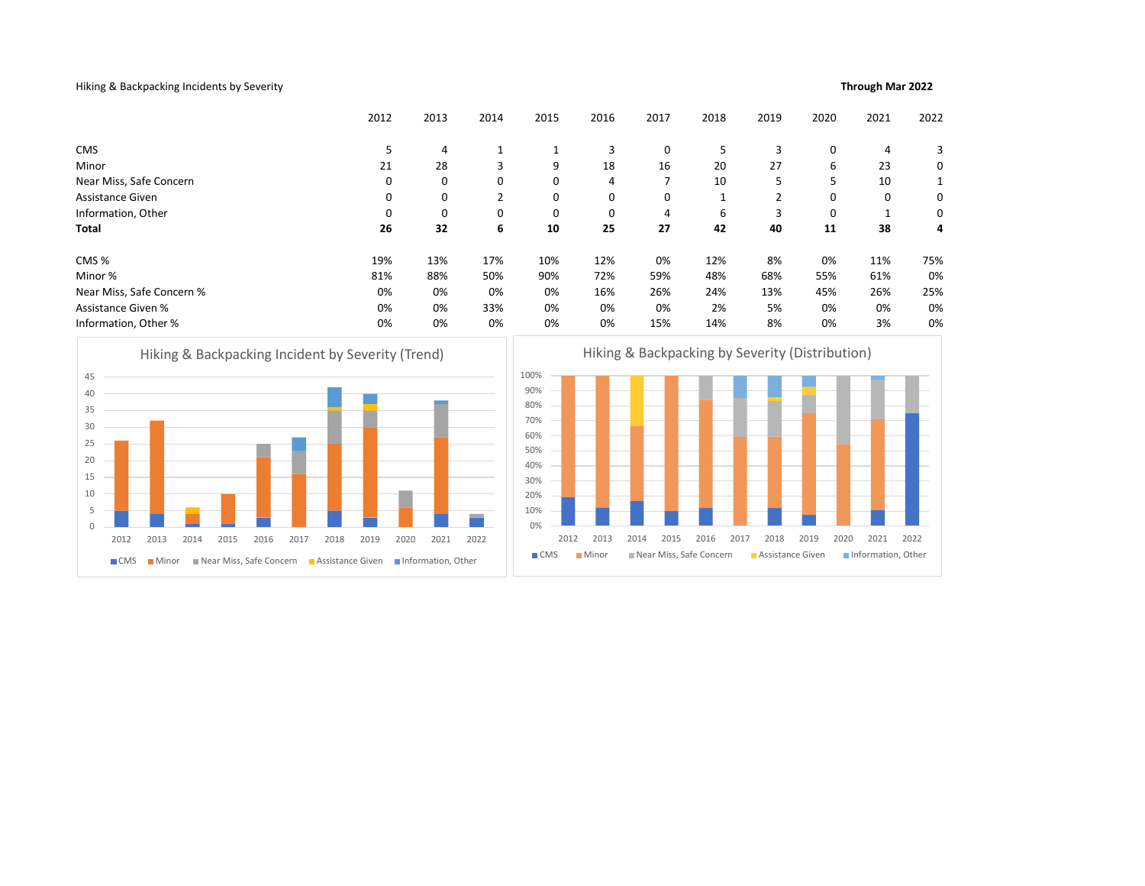# Hiking & Backpacking Incidents by Severity and the Severity of the Seventh Mar 2022 Through Mar 2022

|                                                                                                                                      | 2012         | 2013                       | 2014         | 2015                                                               | 2016           | 2017                                    | 2018 | 2019                     | 2020         | 2021               | 2022 |
|--------------------------------------------------------------------------------------------------------------------------------------|--------------|----------------------------|--------------|--------------------------------------------------------------------|----------------|-----------------------------------------|------|--------------------------|--------------|--------------------|------|
| CMS                                                                                                                                  | 5            | 4                          | $\mathbf{1}$ | $\mathbf{1}$                                                       | 3              | 0                                       | 5    | 3                        | 0            | 4                  | 3    |
| Minor                                                                                                                                | 21           | 28                         | 3            | 9                                                                  | 18             | 16                                      | 20   | 27                       | 6            | 23                 | 0    |
| Near Miss, Safe Concern                                                                                                              | 0            | 0                          | 0            | 0                                                                  | 4              | $\overline{7}$                          | 10   | 5                        | 5            | 10                 | 1    |
| Assistance Given                                                                                                                     | 0            | 0                          | 2            | $\mathbf 0$                                                        | 0              | 0                                       | 1    | $\overline{2}$           | 0            | $\mathbf 0$        | 0    |
| Information, Other                                                                                                                   | 0            | $\mathbf 0$                | 0            | 0                                                                  | 0              | 4                                       | 6    | 3                        | 0            | 1                  | 0    |
| <b>Total</b>                                                                                                                         | 26           | 32                         | 6            | 10                                                                 | 25             | 27                                      | 42   | 40                       | 11           | 38                 | 4    |
| CMS%                                                                                                                                 | 19%          | 13%                        | 17%          | 10%                                                                | 12%            | 0%                                      | 12%  | 8%                       | 0%           | 11%                | 75%  |
| Minor %                                                                                                                              | 81%          | 88%                        | 50%          | 90%                                                                | 72%            | 59%                                     | 48%  | 68%                      | 55%          | 61%                | 0%   |
| Near Miss, Safe Concern %                                                                                                            | 0%           | 0%                         | 0%           | 0%                                                                 | 16%            | 26%                                     | 24%  | 13%                      | 45%          | 26%                | 25%  |
| <b>Assistance Given %</b>                                                                                                            | 0%           | 0%                         | 33%          | 0%                                                                 | 0%             | 0%                                      | 2%   | 5%                       | 0%           | 0%                 | 0%   |
| Information, Other %                                                                                                                 | 0%           | 0%                         | 0%           | 0%                                                                 | 0%             | 15%                                     | 14%  | 8%                       | 0%           | 3%                 | 0%   |
| 35<br>30<br>25<br>20<br>15<br>10<br>5<br>$\mathbf{0}$                                                                                |              |                            |              | 80%<br>70%<br>60%<br>50%<br>40%<br>30%<br>20%<br>10%<br>0%<br>2012 | 2013           |                                         | 2016 |                          |              | 2021               |      |
| 2012<br>2013<br>2014<br>2015<br>2016<br>2017<br>2018<br>Near Miss, Safe Concern <b>B</b> Assistance Given<br>$\Box$ CMS<br>$M$ Minor | 2019<br>2020 | 2021<br>Information, Other | 2022         | CMS                                                                | <b>■</b> Minor | 2014<br>2015<br>Near Miss, Safe Concern | 2017 | 2018<br>Assistance Given | 2019<br>2020 | Information, Other | 2022 |
|                                                                                                                                      |              |                            |              |                                                                    |                |                                         |      |                          |              |                    |      |